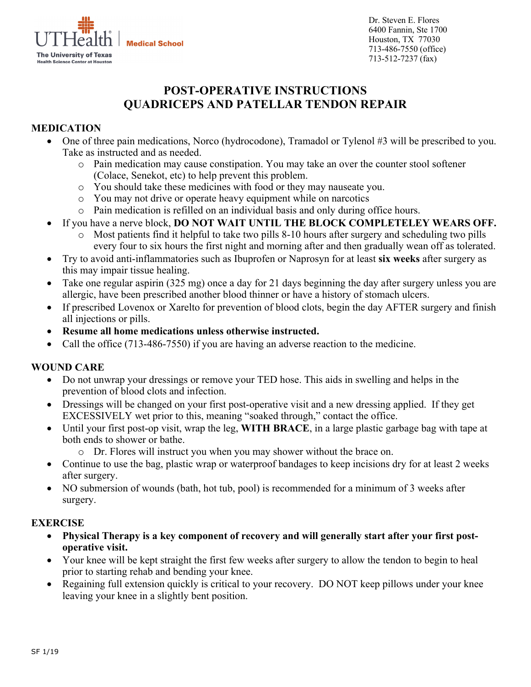

Dr. Steven E. Flores 6400 Fannin, Ste 1700 Houston, TX 77030 713-486-7550 (office) 713-512-7237 (fax)

# **POST-OPERATIVE INSTRUCTIONS QUADRICEPS AND PATELLAR TENDON REPAIR**

## **MEDICATION**

- One of three pain medications, Norco (hydrocodone), Tramadol or Tylenol #3 will be prescribed to you. Take as instructed and as needed.
	- o Pain medication may cause constipation. You may take an over the counter stool softener (Colace, Senekot, etc) to help prevent this problem.
	- o You should take these medicines with food or they may nauseate you.
	- o You may not drive or operate heavy equipment while on narcotics
	- o Pain medication is refilled on an individual basis and only during office hours.
- If you have a nerve block, **DO NOT WAIT UNTIL THE BLOCK COMPLETELEY WEARS OFF.**
	- Most patients find it helpful to take two pills 8-10 hours after surgery and scheduling two pills every four to six hours the first night and morning after and then gradually wean off as tolerated.
- Try to avoid anti-inflammatories such as Ibuprofen or Naprosyn for at least **six weeks** after surgery as this may impair tissue healing.
- Take one regular aspirin (325 mg) once a day for 21 days beginning the day after surgery unless you are allergic, have been prescribed another blood thinner or have a history of stomach ulcers.
- If prescribed Lovenox or Xarelto for prevention of blood clots, begin the day AFTER surgery and finish all injections or pills.
- **Resume all home medications unless otherwise instructed.**
- Call the office (713-486-7550) if you are having an adverse reaction to the medicine.

### **WOUND CARE**

- Do not unwrap your dressings or remove your TED hose. This aids in swelling and helps in the prevention of blood clots and infection.
- Dressings will be changed on your first post-operative visit and a new dressing applied. If they get EXCESSIVELY wet prior to this, meaning "soaked through," contact the office.
- Until your first post-op visit, wrap the leg, **WITH BRACE**, in a large plastic garbage bag with tape at both ends to shower or bathe.
	- o Dr. Flores will instruct you when you may shower without the brace on.
- Continue to use the bag, plastic wrap or waterproof bandages to keep incisions dry for at least 2 weeks after surgery.
- NO submersion of wounds (bath, hot tub, pool) is recommended for a minimum of 3 weeks after surgery.

#### **EXERCISE**

- **Physical Therapy is a key component of recovery and will generally start after your first postoperative visit.**
- Your knee will be kept straight the first few weeks after surgery to allow the tendon to begin to heal prior to starting rehab and bending your knee.
- Regaining full extension quickly is critical to your recovery. DO NOT keep pillows under your knee leaving your knee in a slightly bent position.